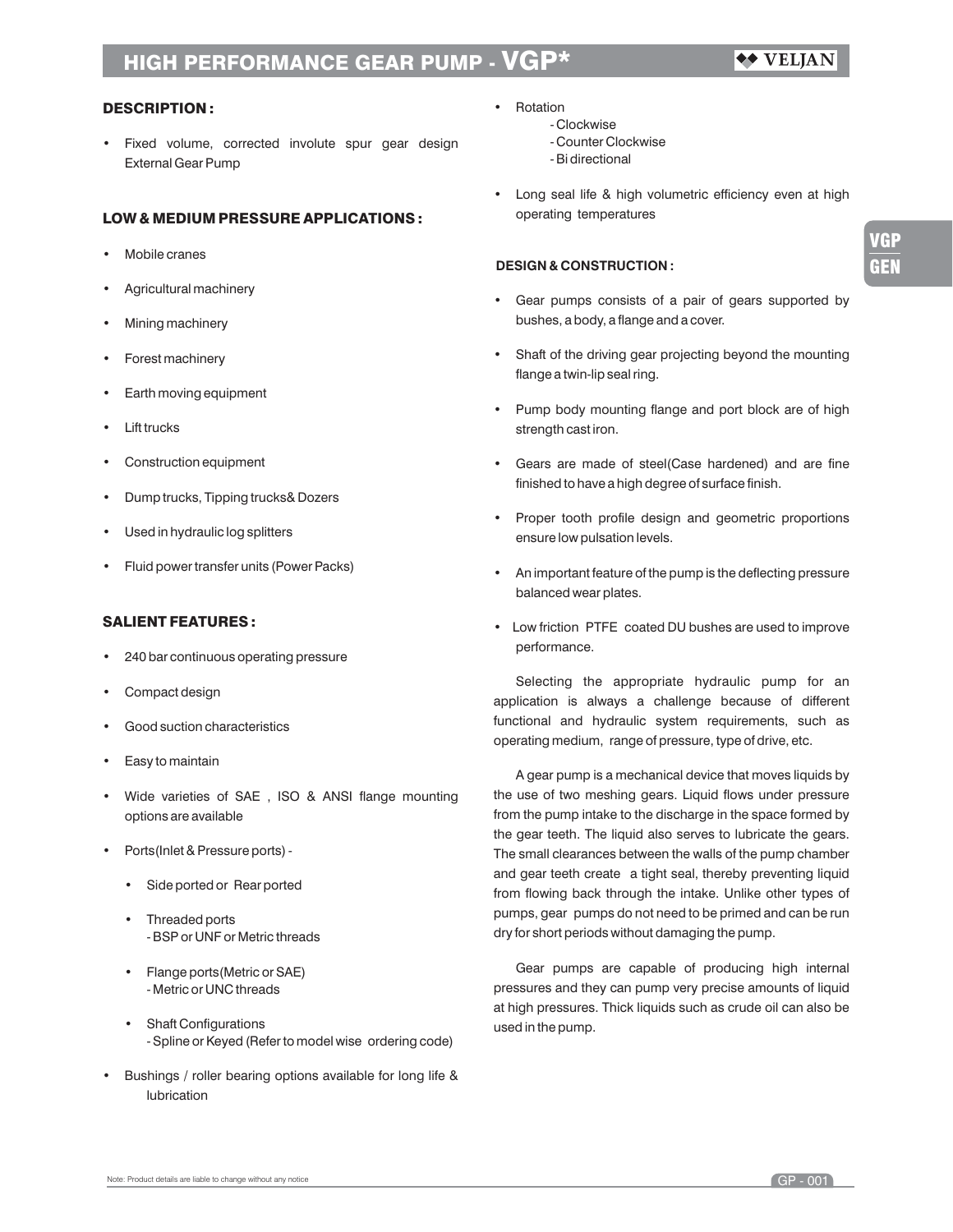VGP GEN

# **DESCRIPTION : • Rotation**

Fixed volume, corrected involute spur gear design Fixed The Counter Clockwise External Gear Pump  $\blacksquare$ 

# LOW & MEDIUM PRESSURE APPLICATIONS : operating temperatures

- Mobile cranes
- 
- 
- 
- Earth moving equipment
- 
- 
- Dump trucks, Tipping trucks& Dozers
- 
- 

- performance. 240 bar continuous operating pressure
- 
- 
- Easy to maintain
- 
- -
	-
	-
	- Shaft Configurations **being a controlled in the pump.** - Spline or Keyed (Refer to model wise ordering code)
- Bushings / roller bearing options available for long life & lubrication
- - Clockwise
	-
	-
- Long seal life & high volumetric efficiency even at high

### **DESIGN & CONSTRUCTION :**

- Agricultural machinery<br>
Gear pumps consists of a pair of gears supported by Mining machinery **bushes, a body, a flange and a cover.**
- Forest machinery Shaft of the driving gear projecting beyond the mounting flange a twin-lip seal ring.
- Pump body mounting flange and port block are of high Lift trucks **but a strength cast iron.** The strength cast iron.
- Construction equipment  **Gears are made of steel(Case hardened)** and are fine finished to have a high degree of surface finish.
- Proper tooth profile design and geometric proportions • Used in hydraulic log splitters ensure low pulsation levels.
- Fluid power transfer units (Power Packs) An important feature of the pump is the deflecting pressure balanced wear plates.
- SALIENT FEATURES : Cow friction PTFE coated DU bushes are used to improve

Selecting the appropriate hydraulic pump for an • Compact design an • Selecting the appropriate hydraulic pump for an • Compact design a challenge because of different functional and hydraulic system requirements, such as • Good suction characteristics operating medium, range of pressure, type of drive, etc.

A gear pump is a mechanical device that moves liquids by Wide varieties of SAE, ISO & ANSI flange mounting the use of two meshing gears. Liquid flows under pressure options are available from the pump intake to the discharge in the space formed by the gear teeth. The liquid also serves to lubricate the gears. • Ports(Inlet & Pressure ports) - The small clearances between the walls of the pump chamber and gear teeth create a tight seal, thereby preventing liquid<br>from flowing back through the intake. Unlike other types of<br>from flowing back through the intake. Unlike other types of • Threaded ports **• Threaded ports •** Threaded ports **in the pumps**, gear pumps do not need to be primed and can be run - BSP or UNF or Metric threads example and the pump.

• Flange ports(Metric or SAE) **6** Gear pumps are capable of producing high internal - Metric or UNC threads pressures and they can pump very precise amounts of liquid at high pressures. Thick liquids such as crude oil can also be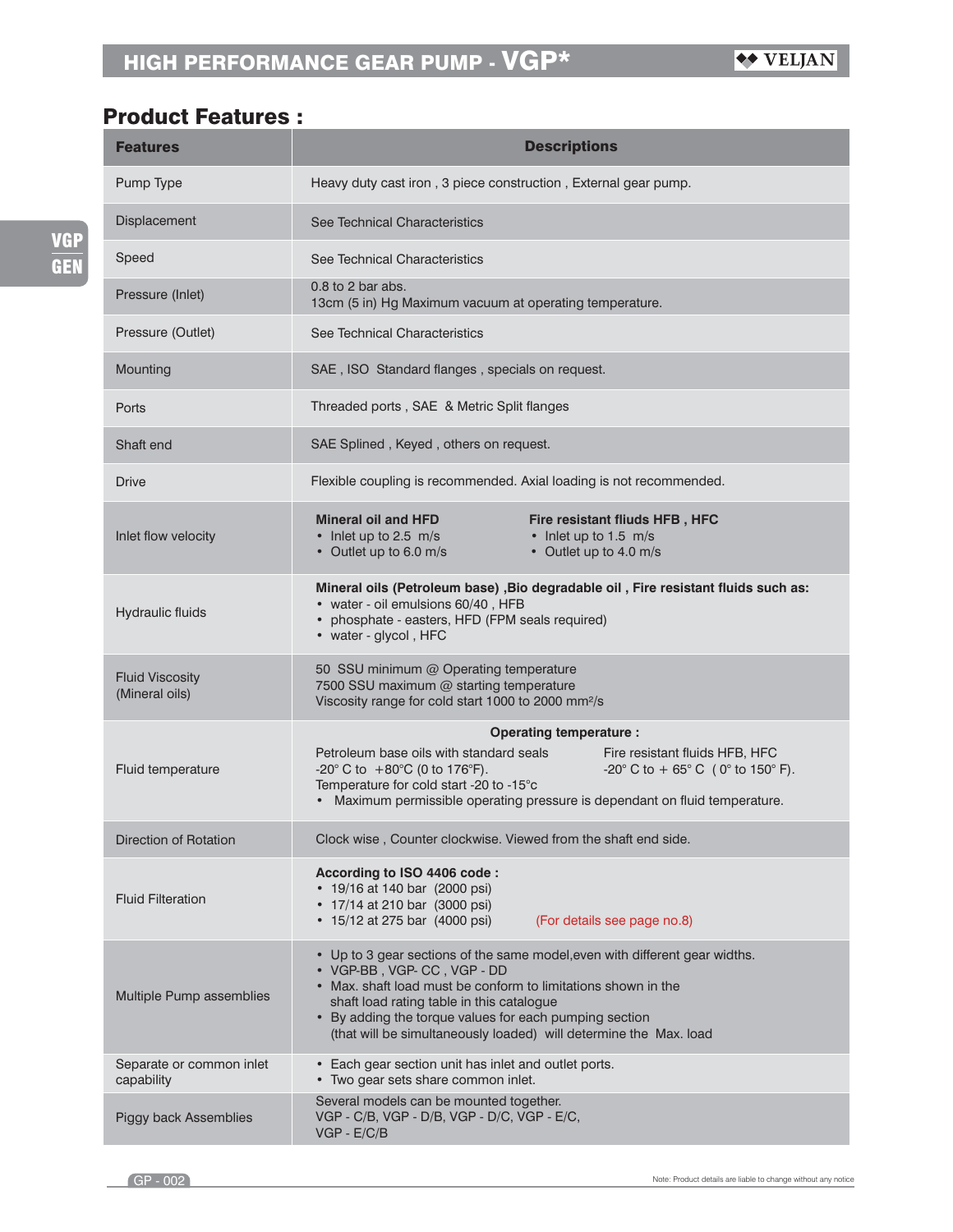# Product Features :

| <b>Features</b>                          | <b>Descriptions</b>                                                                                                                                                                                                                                                                                                                                  |
|------------------------------------------|------------------------------------------------------------------------------------------------------------------------------------------------------------------------------------------------------------------------------------------------------------------------------------------------------------------------------------------------------|
| Pump Type                                | Heavy duty cast iron, 3 piece construction, External gear pump.                                                                                                                                                                                                                                                                                      |
| Displacement                             | See Technical Characteristics                                                                                                                                                                                                                                                                                                                        |
| Speed                                    | See Technical Characteristics                                                                                                                                                                                                                                                                                                                        |
| Pressure (Inlet)                         | $0.8$ to 2 bar abs.<br>13cm (5 in) Hg Maximum vacuum at operating temperature.                                                                                                                                                                                                                                                                       |
| Pressure (Outlet)                        | See Technical Characteristics                                                                                                                                                                                                                                                                                                                        |
| Mounting                                 | SAE, ISO Standard flanges, specials on request.                                                                                                                                                                                                                                                                                                      |
| Ports                                    | Threaded ports, SAE & Metric Split flanges                                                                                                                                                                                                                                                                                                           |
| Shaft end                                | SAE Splined, Keyed, others on request.                                                                                                                                                                                                                                                                                                               |
| Drive                                    | Flexible coupling is recommended. Axial loading is not recommended.                                                                                                                                                                                                                                                                                  |
| Inlet flow velocity                      | <b>Mineral oil and HFD</b><br>Fire resistant fliuds HFB, HFC<br>$\cdot$ Inlet up to 1.5 m/s<br>$\cdot$ lnlet up to 2.5 m/s<br>• Outlet up to 6.0 m/s<br>• Outlet up to 4.0 m/s                                                                                                                                                                       |
| <b>Hydraulic fluids</b>                  | Mineral oils (Petroleum base) , Bio degradable oil, Fire resistant fluids such as:<br>· water - oil emulsions 60/40, HFB<br>• phosphate - easters, HFD (FPM seals required)<br>• water - glycol, HFC                                                                                                                                                 |
| <b>Fluid Viscosity</b><br>(Mineral oils) | 50 SSU minimum @ Operating temperature<br>7500 SSU maximum @ starting temperature<br>Viscosity range for cold start 1000 to 2000 mm <sup>2</sup> /s                                                                                                                                                                                                  |
| Fluid temperature                        | <b>Operating temperature:</b><br>Petroleum base oils with standard seals<br>Fire resistant fluids HFB, HFC<br>-20° C to $+80^{\circ}$ C (0 to 176°F).<br>-20° C to + 65° C ( $0^{\circ}$ to 150° F).<br>Temperature for cold start -20 to -15°c<br>• Maximum permissible operating pressure is dependant on fluid temperature.                       |
| <b>Direction of Rotation</b>             | Clock wise, Counter clockwise. Viewed from the shaft end side.                                                                                                                                                                                                                                                                                       |
| <b>Fluid Filteration</b>                 | According to ISO 4406 code:<br>• 19/16 at 140 bar (2000 psi)<br>• 17/14 at 210 bar (3000 psi)<br>• 15/12 at 275 bar (4000 psi)<br>(For details see page no.8)                                                                                                                                                                                        |
| Multiple Pump assemblies                 | • Up to 3 gear sections of the same model, even with different gear widths.<br>• VGP-BB, VGP-CC, VGP-DD<br>• Max. shaft load must be conform to limitations shown in the<br>shaft load rating table in this catalogue<br>• By adding the torque values for each pumping section<br>(that will be simultaneously loaded) will determine the Max. load |
| Separate or common inlet<br>capability   | • Each gear section unit has inlet and outlet ports.<br>• Two gear sets share common inlet.                                                                                                                                                                                                                                                          |
| Piggy back Assemblies                    | Several models can be mounted together.<br>VGP - C/B, VGP - D/B, VGP - D/C, VGP - E/C,<br>$VGP - E/C/B$                                                                                                                                                                                                                                              |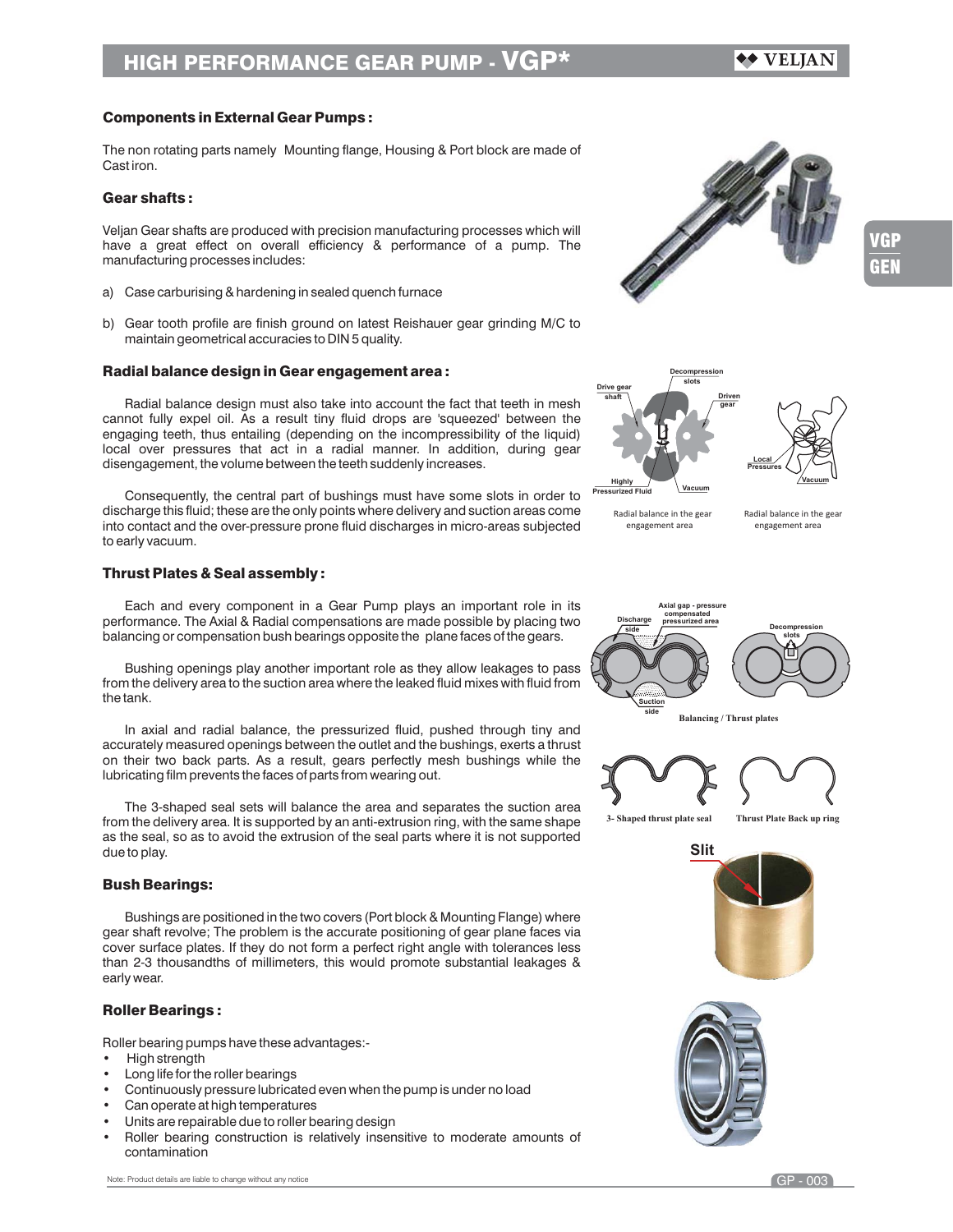### Components in External Gear Pumps :

The non rotating parts namely Mounting flange, Housing & Port block are made of Cast iron.

#### Gear shafts :

Veljan Gear shafts are produced with precision manufacturing processes which will have a great effect on overall efficiency & performance of a pump. The manufacturing processes includes:

- a) Case carburising & hardening in sealed quench furnace
- b) Gear tooth profile are finish ground on latest Reishauer gear grinding M/C to maintain geometrical accuracies to DIN 5 quality.

#### Radial balance design in Gear engagement area :

Radial balance design must also take into account the fact that teeth in mesh cannot fully expel oil. As a result tiny fluid drops are 'squeezed' between the engaging teeth, thus entailing (depending on the incompressibility of the liquid) local over pressures that act in a radial manner. In addition, during gear disengagement, the volume between the teeth suddenly increases.

Consequently, the central part of bushings must have some slots in order to discharge this fluid; these are the only points where delivery and suction areas come into contact and the over-pressure prone fluid discharges in micro-areas subjected to early vacuum.

#### Thrust Plates & Seal assembly :

Each and every component in a Gear Pump plays an important role in its performance. The Axial & Radial compensations are made possible by placing two balancing or compensation bush bearings opposite the plane faces of the gears.

Bushing openings play another important role as they allow leakages to pass from the delivery area to the suction area where the leaked fluid mixes with fluid from the tank.

In axial and radial balance, the pressurized fluid, pushed through tiny and accurately measured openings between the outlet and the bushings, exerts a thrust on their two back parts. As a result, gears perfectly mesh bushings while the lubricating film prevents the faces of parts from wearing out.

The 3-shaped seal sets will balance the area and separates the suction area from the delivery area. It is supported by an anti-extrusion ring, with the same shape as the seal, so as to avoid the extrusion of the seal parts where it is not supported due to play.

#### Bush Bearings:

Bushings are positioned in the two covers (Port block & Mounting Flange) where gear shaft revolve; The problem is the accurate positioning of gear plane faces via cover surface plates. If they do not form a perfect right angle with tolerances less than 2-3 thousandths of millimeters, this would promote substantial leakages & early wear.

#### Roller Bearings :

Roller bearing pumps have these advantages:-

- High strength
- Long life for the roller bearings
- Continuously pressure lubricated even when the pump is under no load
- Can operate at high temperatures
- Units are repairable due to roller bearing design
- Roller bearing construction is relatively insensitive to moderate amounts of contamination





 **Local Pressures**

 **gear**

 Radial balance in the gear engagement area

**Vacuum**

VGP GEN

**Decompression slots Balancing / Thrust plates Discharge side Axial gap - pressure compensated pressurized area Suction side**



**3- Shaped thrust plate seal Thrust Plate Back up ring**

 Radial balance in the gear engagement area

**Highly Pressurized Fluid Vacuum**

**Drive gear**

 **slots**

shaft **Driven** 



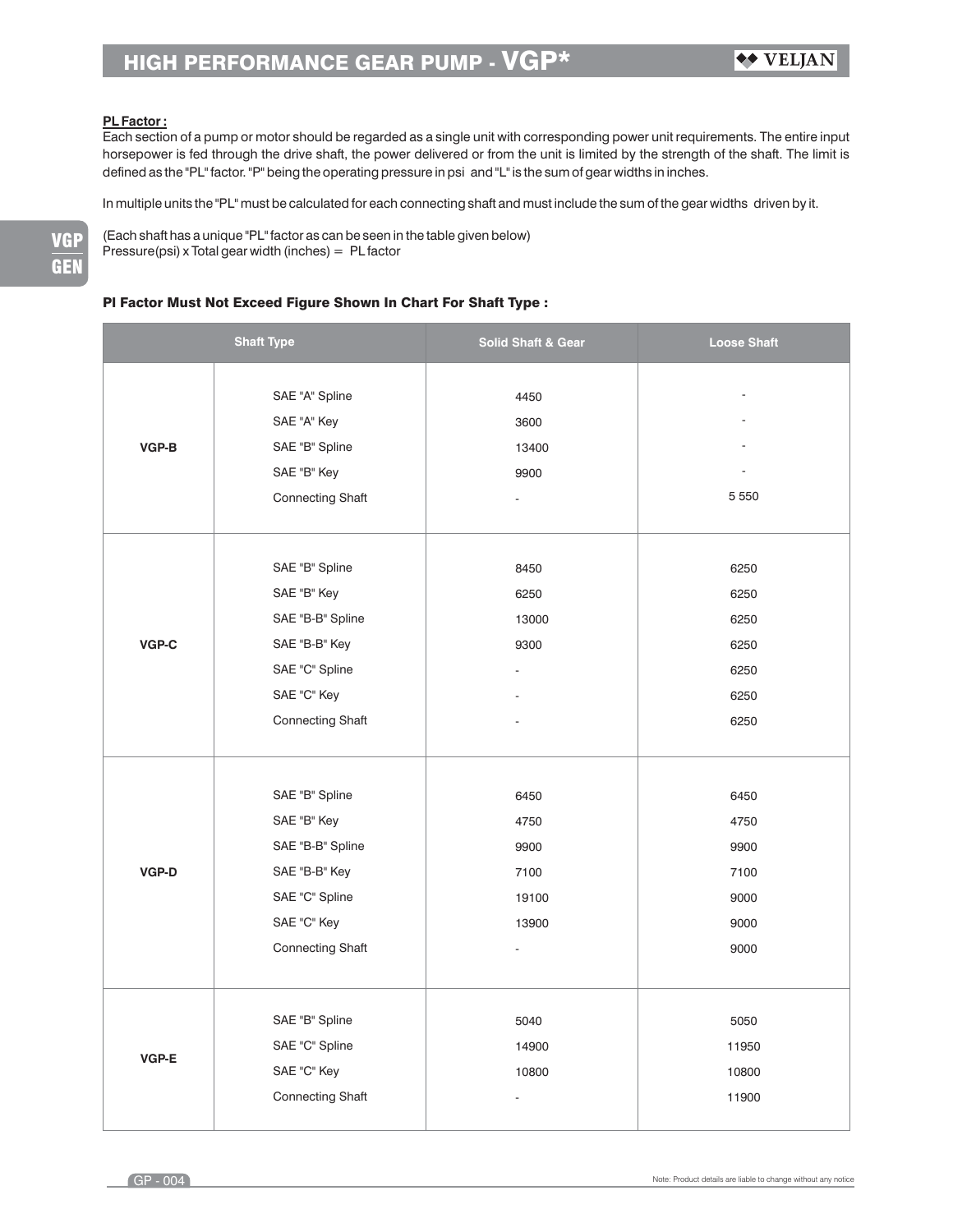# **PL Factor :**

Each section of a pump or motor should be regarded as a single unit with corresponding power unit requirements. The entire input horsepower is fed through the drive shaft, the power delivered or from the unit is limited by the strength of the shaft. The limit is defined as the "PL" factor. "P" being the operating pressure in psi and "L" is the sum of gear widths in inches.

In multiple units the "PL" must be calculated for each connecting shaft and must include the sum of the gear widths driven by it.

VGP GEN

(Each shaft has a unique "PL" factor as can be seen in the table given below) Pressure(psi) x Total gear width (inches) = PL factor

### Pl Factor Must Not Exceed Figure Shown In Chart For Shaft Type :

|              | <b>Shaft Type</b>                                                                                                              | <b>Solid Shaft &amp; Gear</b>                                   | <b>Loose Shaft</b>                                   |  |  |  |
|--------------|--------------------------------------------------------------------------------------------------------------------------------|-----------------------------------------------------------------|------------------------------------------------------|--|--|--|
| VGP-B        | SAE "A" Spline<br>SAE "A" Key<br>SAE "B" Spline<br>SAE "B" Key<br><b>Connecting Shaft</b>                                      | 4450<br>3600<br>13400<br>9900                                   | 5 5 5 0                                              |  |  |  |
| VGP-C        | SAE "B" Spline<br>SAE "B" Key<br>SAE "B-B" Spline<br>SAE "B-B" Key<br>SAE "C" Spline<br>SAE "C" Key<br><b>Connecting Shaft</b> | 8450<br>6250<br>13000<br>9300                                   | 6250<br>6250<br>6250<br>6250<br>6250<br>6250<br>6250 |  |  |  |
| <b>VGP-D</b> | SAE "B" Spline<br>SAE "B" Key<br>SAE "B-B" Spline<br>SAE "B-B" Key<br>SAE "C" Spline<br>SAE "C" Key<br><b>Connecting Shaft</b> | 6450<br>4750<br>9900<br>7100<br>19100<br>13900<br>$\frac{1}{2}$ | 6450<br>4750<br>9900<br>7100<br>9000<br>9000<br>9000 |  |  |  |
| VGP-E        | SAE "B" Spline<br>SAE "C" Spline<br>SAE "C" Key<br><b>Connecting Shaft</b>                                                     | 5040<br>14900<br>10800                                          | 5050<br>11950<br>10800<br>11900                      |  |  |  |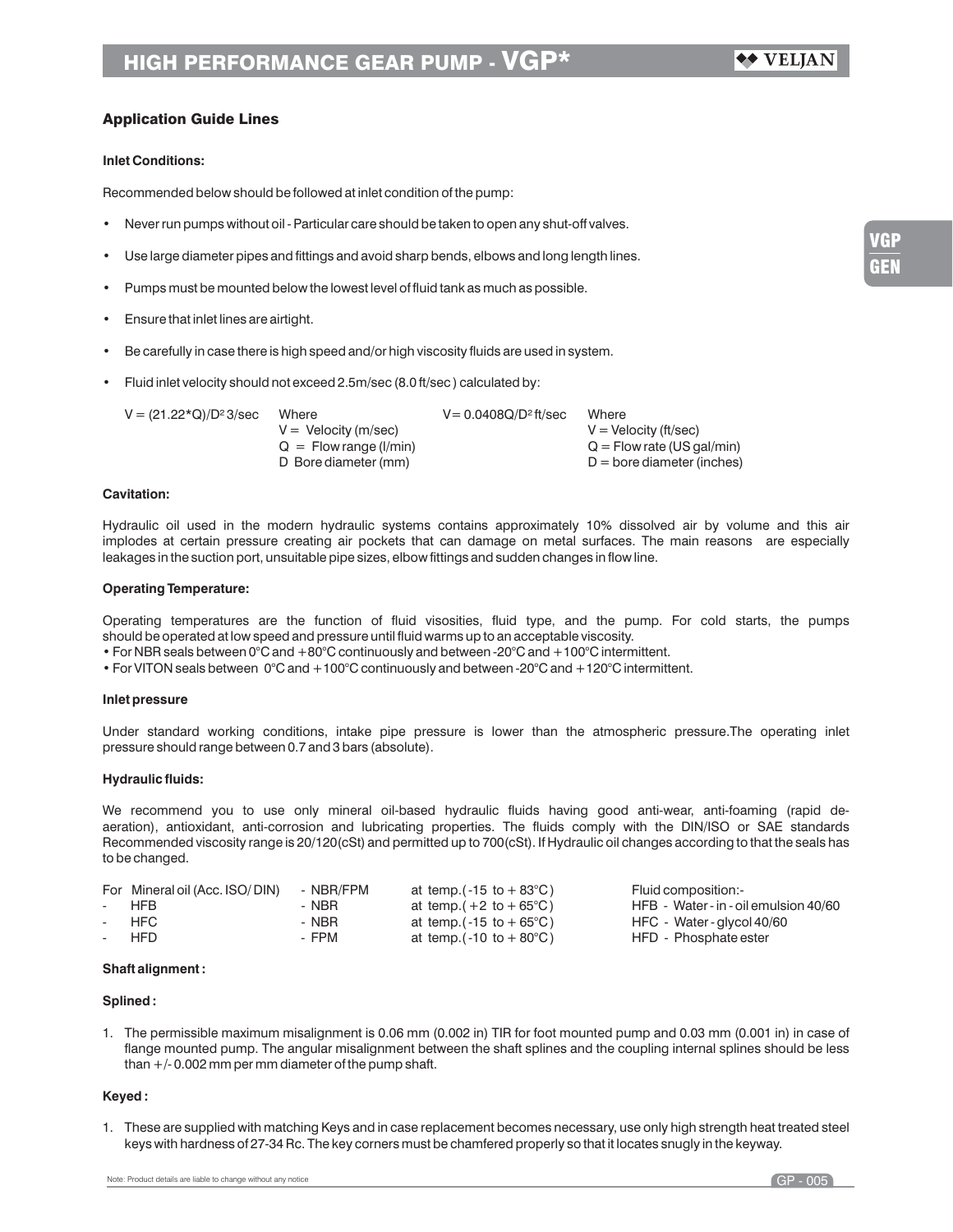# Application Guide Lines

#### **Inlet Conditions:**

Recommended below should be followed at inlet condition of the pump:

- Never run pumps without oil Particular care should be taken to open any shut-off valves.
- Use large diameter pipes and fittings and avoid sharp bends, elbows and long length lines.
- Pumps must be mounted below the lowest level of fluid tank as much as possible.
- Ensure that inlet lines are airtight.
- Be carefully in case there is high speed and/or high viscosity fluids are used in system.
- Fluid inlet velocity should not exceed 2.5m/sec (8.0 ft/sec ) calculated by:

 $V = (21.22 \times Q)/D^2$  3/sec Where  $V = 0.0408Q/D^2$  ft/sec Where  $V =$  Velocity (m/sec)  $V =$  Velocity (ft/sec)  $Q = Flow$  range (l/min)  $Q = Flow$  rate (US gal/min) D Bore diameter  $(mm)$  D = bore diameter (inches)

#### **Cavitation:**

Hydraulic oil used in the modern hydraulic systems contains approximately 10% dissolved air by volume and this air implodes at certain pressure creating air pockets that can damage on metal surfaces. The main reasons are especially leakages in the suction port, unsuitable pipe sizes, elbow fittings and sudden changes in flow line.

#### **Operating Temperature:**

Operating temperatures are the function of fluid visosities, fluid type, and the pump. For cold starts, the pumps should be operated at low speed and pressure until fluid warms up to an acceptable viscosity.

- For NBR seals between 0°C and +80°C continuously and between -20°C and +100°C intermittent.
- For VITON seals between 0°C and +100°C continuously and between -20°C and +120°C intermittent.

#### **Inlet pressure**

Under standard working conditions, intake pipe pressure is lower than the atmospheric pressure.The operating inlet pressure should range between 0.7 and 3 bars (absolute).

#### **Hydraulic fluids:**

We recommend you to use only mineral oil-based hydraulic fluids having good anti-wear, anti-foaming (rapid deaeration), antioxidant, anti-corrosion and lubricating properties. The fluids comply with the DIN/ISO or SAE standards Recommended viscosity range is 20/120(cSt) and permitted up to 700(cSt). If Hydraulic oil changes according to that the seals has to be changed.

| For Mineral oil (Acc. ISO/DIN) | - NBR/FPM | at temp. $(-15 \text{ to } +83^{\circ}\text{C})$  | Fluid composition:-               |
|--------------------------------|-----------|---------------------------------------------------|-----------------------------------|
| - HFB                          | - NBR     | at temp. $(+2 \text{ to } +65^{\circ} \text{C})$  | HFB - Water-in-oil emulsion 40/60 |
| - HFC                          | - NBR     | at temp. $(-15 \text{ to } +65^{\circ} \text{C})$ | HFC - Water-glycol 40/60          |
| - HFD                          | - FPM     | at temp. $(-10 \text{ to } +80^{\circ} \text{C})$ | HFD - Phosphate ester             |
|                                |           |                                                   |                                   |

#### **Shaft alignment :**

#### **Splined :**

1. The permissible maximum misalignment is 0.06 mm (0.002 in) TIR for foot mounted pump and 0.03 mm (0.001 in) in case of flange mounted pump. The angular misalignment between the shaft splines and the coupling internal splines should be less than  $+/-$  0.002 mm per mm diameter of the pump shaft.

#### **Keyed :**

1. These are supplied with matching Keys and in case replacement becomes necessary, use only high strength heat treated steel keys with hardness of 27-34 Rc. The key corners must be chamfered properly so that it locates snugly in the keyway.

VGP GEN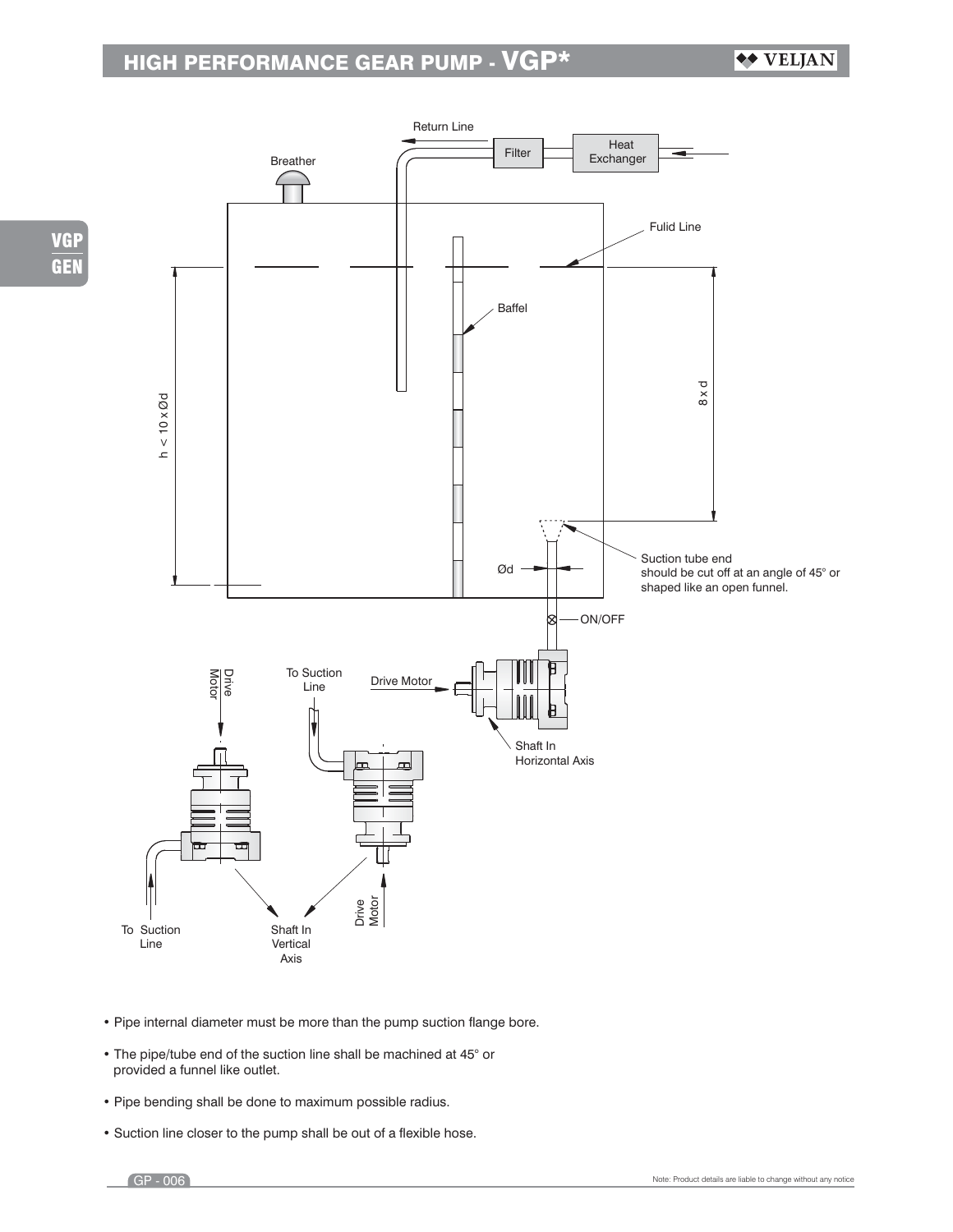**◆◆ VELJAN** 



- Pipe internal diameter must be more than the pump suction flange bore.
- The pipe/tube end of the suction line shall be machined at 45° or provided a funnel like outlet.
- Pipe bending shall be done to maximum possible radius.
- Suction line closer to the pump shall be out of a flexible hose.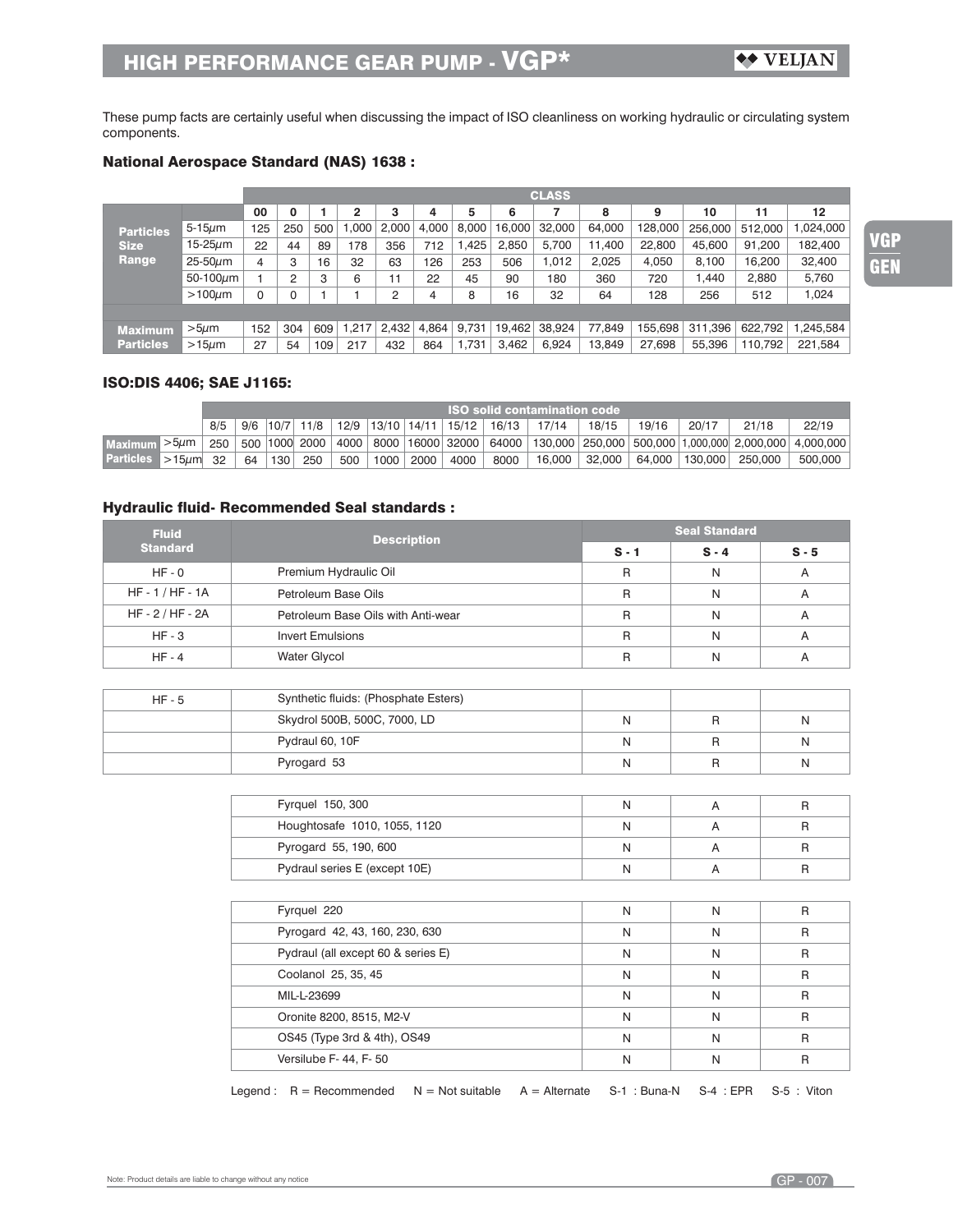VGP GEN

These pump facts are certainly useful when discussing the impact of ISO cleanliness on working hydraulic or circulating system components.

# National Aerospace Standard (NAS) 1638 :

|                  |               |     |     |     |       |       |       |       |        | <b>CLASS</b> |        |         |         |         |           |
|------------------|---------------|-----|-----|-----|-------|-------|-------|-------|--------|--------------|--------|---------|---------|---------|-----------|
|                  |               | 00  |     |     | 2     |       | 4     | 5     | 6      |              | 8      | 9       | 10      | 11      | 12        |
| <b>Particles</b> | 5-15 $\mu$ m  | 125 | 250 | 500 | .000  | 2,000 | 4,000 | 8.000 | 16.000 | 32.000       | 64.000 | 128,000 | 256,000 | 512.000 | 1.024.000 |
| <b>Size</b>      | $15-25\mu m$  | 22  | 44  | 89  | 78    | 356   | 712   | ,425  | 2.850  | 5.700        | 11.400 | 22,800  | 45.600  | 91.200  | 182,400   |
| Range            | $25-50 \mu m$ | 4   | 3   | 16  | 32    | 63    | 126   | 253   | 506    | 1,012        | 2.025  | 4.050   | 8,100   | 16,200  | 32,400    |
|                  | 50-100um      |     | C   |     | 6     | 11    | 22    | 45    | 90     | 180          | 360    | 720     | 1.440   | 2,880   | 5.760     |
|                  | $>100 \mu m$  |     |     |     |       | 2     | 4     | 8     | 16     | 32           | 64     | 128     | 256     | 512     | 1,024     |
|                  |               |     |     |     |       |       |       |       |        |              |        |         |         |         |           |
| <b>Maximum</b>   | $>5 \mu m$    | 152 | 304 | 609 | 1.217 | 2.432 | 4.864 | 9.731 | 19,462 | 38.924       | 77.849 | 155.698 | 311.396 | 622.792 | 1.245.584 |
| <b>Particles</b> | $>15 \mu m$   | 27  | 54  | 109 | 217   | 432   | 864   | 1,731 | 3,462  | 6,924        | 13,849 | 27,698  | 55,396  | 110.792 | 221,584   |

# ISO:DIS 4406; SAE J1165:

|                          |                     |     | <b>ISO solid contamination code</b> |                  |     |     |      |      |      |      |                                                               |                   |       |       |                            |                                                                                                                                        |
|--------------------------|---------------------|-----|-------------------------------------|------------------|-----|-----|------|------|------|------|---------------------------------------------------------------|-------------------|-------|-------|----------------------------|----------------------------------------------------------------------------------------------------------------------------------------|
|                          |                     | 8/5 |                                     |                  |     |     |      |      |      |      | 9/6  10/7   11/8   12/9  13/10  14/11   15/12   16/13   17/14 | 18/15             | 19/16 | 20/17 | 21/18                      | 22/19                                                                                                                                  |
| <b>Maximum</b>           | ⊿ >5µm <sup>⊥</sup> |     |                                     |                  |     |     |      |      |      |      |                                                               |                   |       |       |                            | $^{\prime}$ 250   500  1000  2000   4000   8000  16000  32000   64000   130,000   250,000   500,000  1,000.000   2.000.000   4.000.000 |
| Particles $>15 \mu m$ 32 |                     |     | 64 I                                | 130 <sup>2</sup> | 250 | 500 | 1000 | 2000 | 4000 | 8000 |                                                               | $16,000$   32,000 |       |       | 64.000   130.000   250.000 | 500.000                                                                                                                                |

# Hydraulic fluid- Recommended Seal standards :

| <b>Fluid</b>       | <b>Description</b>                   |              | <b>Seal Standard</b> |              |  |  |  |  |
|--------------------|--------------------------------------|--------------|----------------------|--------------|--|--|--|--|
| <b>Standard</b>    |                                      | $S - 1$      | $S - 4$              | $S - 5$      |  |  |  |  |
| $HF - 0$           | Premium Hydraulic Oil                | $\mathsf{R}$ | N                    | A            |  |  |  |  |
| $HF - 1 / HF - 1A$ | Petroleum Base Oils                  | $\mathsf R$  | N                    | Α            |  |  |  |  |
| HF-2/HF-2A         | Petroleum Base Oils with Anti-wear   | $\mathsf{R}$ | N                    | Α            |  |  |  |  |
| $HF - 3$           | <b>Invert Emulsions</b>              | $\mathsf{R}$ | N                    | Α            |  |  |  |  |
| $HF - 4$           | Water Glycol                         | $\mathsf{R}$ | N                    | Α            |  |  |  |  |
|                    |                                      |              |                      |              |  |  |  |  |
| $HF - 5$           | Synthetic fluids: (Phosphate Esters) |              |                      |              |  |  |  |  |
|                    | Skydrol 500B, 500C, 7000, LD         | N            | $\mathsf{R}$         | $\mathsf{N}$ |  |  |  |  |
|                    | Pydraul 60, 10F                      | N            | R                    | N            |  |  |  |  |
|                    | Pyrogard 53                          | N            | $\mathsf R$          | $\mathsf{N}$ |  |  |  |  |
|                    |                                      |              |                      |              |  |  |  |  |
|                    | Fyrquel 150, 300                     | N            | A                    | $\mathsf{R}$ |  |  |  |  |
|                    | Houghtosafe 1010, 1055, 1120         | N            | $\overline{A}$       | $\mathsf{R}$ |  |  |  |  |
|                    | Pyrogard 55, 190, 600                | N            | A                    | $\mathsf{R}$ |  |  |  |  |
|                    | Pydraul series E (except 10E)        | N            | A                    | $\mathsf{R}$ |  |  |  |  |
|                    |                                      |              |                      |              |  |  |  |  |
|                    | Fyrquel 220                          | N            | N                    | $\mathsf{R}$ |  |  |  |  |
|                    | Pyrogard 42, 43, 160, 230, 630       | N            | N                    | $\mathsf{R}$ |  |  |  |  |
|                    | Pydraul (all except 60 & series E)   | N            | N                    | $\mathsf{R}$ |  |  |  |  |
|                    | Coolanol 25, 35, 45                  | N            | N                    | $\mathsf{R}$ |  |  |  |  |
|                    | MIL-L-23699                          | N            | N                    | $\mathsf{R}$ |  |  |  |  |
|                    | Oronite 8200, 8515, M2-V             | N            | N                    | $\mathsf{R}$ |  |  |  |  |
|                    | OS45 (Type 3rd & 4th), OS49          | N            | N                    | $\mathsf{R}$ |  |  |  |  |
|                    | Versilube F- 44, F- 50               | N            | N                    | $\mathsf{R}$ |  |  |  |  |
|                    |                                      |              |                      |              |  |  |  |  |

Legend : R = Recommended N = Not suitable A = Alternate S-1 : Buna-N S-4 : EPR S-5 : Viton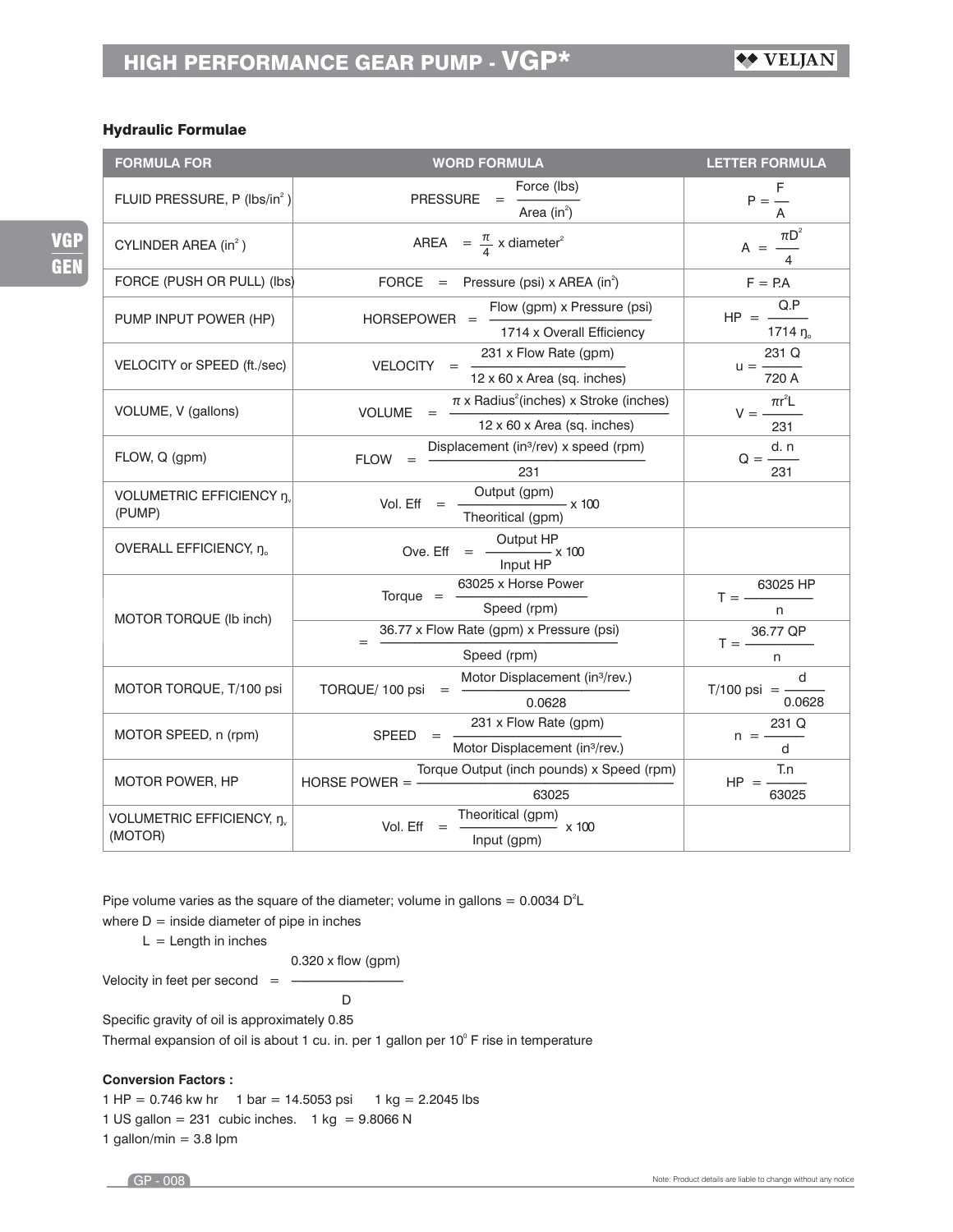# Hydraulic Formulae

| <b>FORMULA FOR</b>                             | <b>WORD FORMULA</b>                                                                                    | <b>LETTER FORMULA</b>                  |  |  |
|------------------------------------------------|--------------------------------------------------------------------------------------------------------|----------------------------------------|--|--|
| FLUID PRESSURE, P (lbs/in <sup>2</sup> )       | Force (lbs)<br>PRESSURE<br>Area $(in^2)$                                                               | F<br>$P =$ —<br>A                      |  |  |
| CYLINDER AREA (in <sup>2</sup> )               | AREA = $\frac{\pi}{4}$ x diameter <sup>2</sup>                                                         | $\pi D^2$<br>$A =$<br>4                |  |  |
| FORCE (PUSH OR PULL) (lbs)                     | FORCE = Pressure (psi) x AREA (in <sup>2</sup> )                                                       | $F = PA$                               |  |  |
| PUMP INPUT POWER (HP)                          | Flow (gpm) x Pressure (psi)<br>HORSEPOWER<br>1714 x Overall Efficiency                                 | Q.P<br>$HP = -$<br>1714 ŋ <sub>o</sub> |  |  |
| VELOCITY or SPEED (ft./sec)                    | 231 x Flow Rate (gpm)<br><b>VELOCITY</b><br>$=$<br>12 x 60 x Area (sq. inches)                         | 231 Q<br>$u = -$<br>720 A              |  |  |
| VOLUME, V (gallons)                            | $\pi$ x Radius <sup>2</sup> (inches) x Stroke (inches)<br><b>VOLUME</b><br>12 x 60 x Area (sq. inches) | $\pi r^2$ L<br>$V =$ —<br>231          |  |  |
| FLOW, Q (gpm)                                  | Displacement (in <sup>3</sup> /rev) x speed (rpm)<br><b>FLOW</b><br>$=$<br>231                         | d. n<br>$Q =$ —<br>231                 |  |  |
| VOLUMETRIC EFFICIENCY n <sub>v</sub><br>(PUMP) | Output (gpm)<br>Vol. $Eff =$<br>$- x 100$<br>Theoritical (gpm)                                         |                                        |  |  |
| OVERALL EFFICIENCY, n.                         | Output HP<br>Ove. Eff<br>$=$ $-$<br>– x 100<br>Input HP                                                |                                        |  |  |
| MOTOR TORQUE (Ib inch)                         | 63025 x Horse Power<br>Torque $=$<br>Speed (rpm)                                                       | 63025 HP<br>$T = -$<br>n               |  |  |
|                                                | 36.77 x Flow Rate (gpm) x Pressure (psi)<br>Speed (rpm)                                                | 36.77 QP<br>$T = -$<br>n               |  |  |
| MOTOR TORQUE, T/100 psi                        | Motor Displacement (in <sup>3</sup> /rev.)<br>TORQUE/ 100 psi $=$<br>0.0628                            | d<br>$T/100$ psi = -<br>0.0628         |  |  |
| MOTOR SPEED, n (rpm)                           | 231 x Flow Rate (gpm)<br><b>SPEED</b><br>$=$<br>Motor Displacement (in <sup>3</sup> /rev.)             | 231 Q<br>$n = -$<br>d                  |  |  |
| MOTOR POWER, HP                                | Torque Output (inch pounds) x Speed (rpm)<br>HORSE POWER $=$ $-$<br>63025                              | T.n<br>$HP = -$<br>63025               |  |  |
| VOLUMETRIC EFFICIENCY, n.<br>(MOTOR)           | Theoritical (gpm)<br>Vol. Eff<br>$- \times 100$<br>$=$<br>Input (gpm)                                  |                                        |  |  |

Pipe volume varies as the square of the diameter; volume in gallons =  $0.0034$  D<sup>2</sup>L where  $D =$  inside diameter of pipe in inches

 $L =$  Length in inches

0.320 x flow (gpm)

Velocity in feet per second  $=$   $-$ 

<u>District of the state of the state of the state of the state of the state of the state of the state of the sta</u>

Specific gravity of oil is approximately 0.85 Thermal expansion of oil is about 1 cu. in. per 1 gallon per  $10^{\circ}$  F rise in temperature

# **Conversion Factors :**

1 HP = 0.746 kw hr 1 bar = 14.5053 psi 1 kg = 2.2045 lbs 1 US gallon =  $231$  cubic inches. 1 kg =  $9.8066$  N 1 gallon/min  $= 3.8$  lpm

**VGP GEI**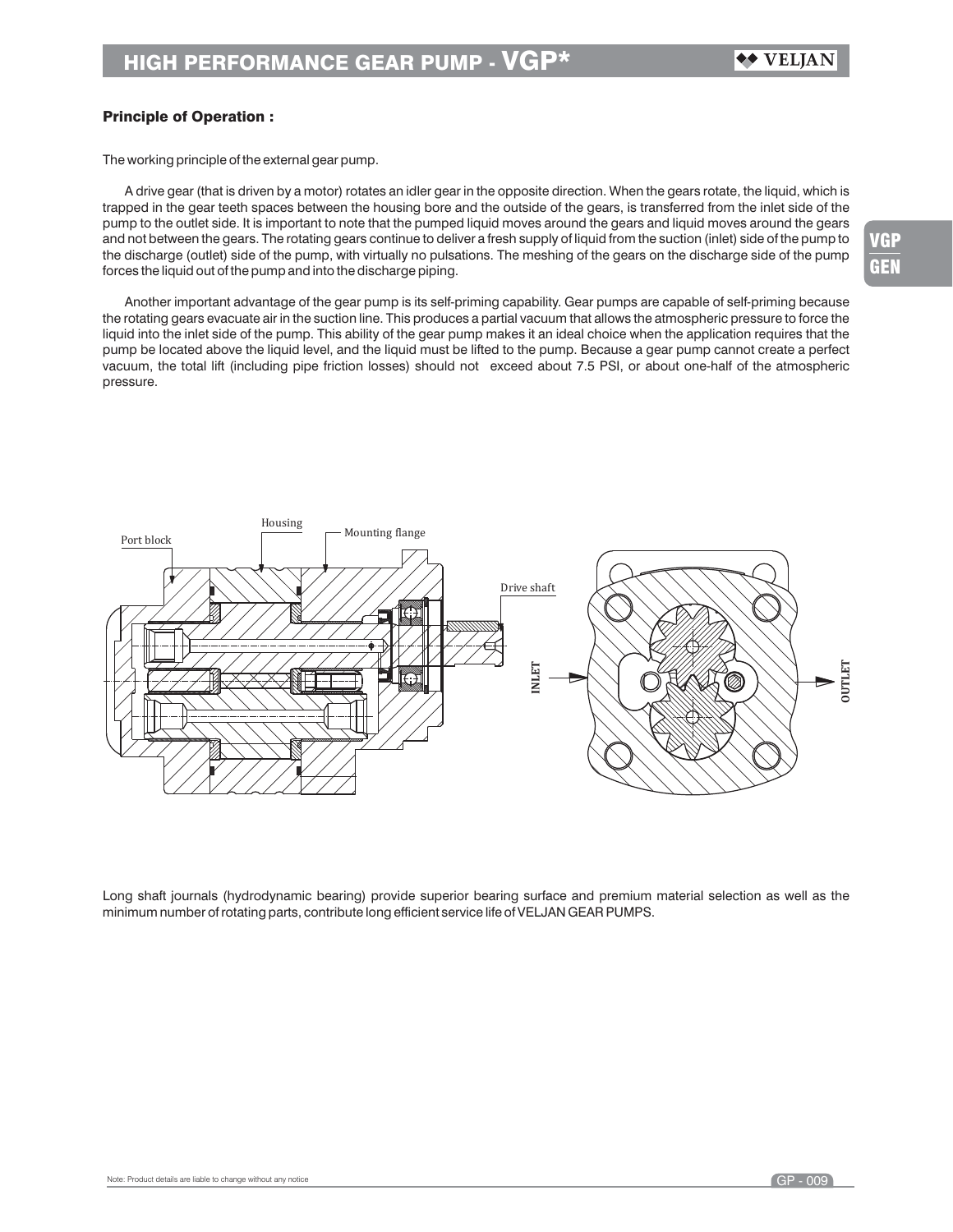### Principle of Operation :

The working principle of the external gear pump.

A drive gear (that is driven by a motor) rotates an idler gear in the opposite direction. When the gears rotate, the liquid, which is trapped in the gear teeth spaces between the housing bore and the outside of the gears, is transferred from the inlet side of the pump to the outlet side. It is important to note that the pumped liquid moves around the gears and liquid moves around the gears and not between the gears. The rotating gears continue to deliver a fresh supply of liquid from the suction (inlet) side of the pump to the discharge (outlet) side of the pump, with virtually no pulsations. The meshing of the gears on the discharge side of the pump forces the liquid out of the pump and into the discharge piping.

Another important advantage of the gear pump is its self-priming capability. Gear pumps are capable of self-priming because the rotating gears evacuate air in the suction line. This produces a partial vacuum that allows the atmospheric pressure to force the liquid into the inlet side of the pump. This ability of the gear pump makes it an ideal choice when the application requires that the pump be located above the liquid level, and the liquid must be lifted to the pump. Because a gear pump cannot create a perfect vacuum, the total lift (including pipe friction losses) should not exceed about 7.5 PSI, or about one-half of the atmospheric pressure.



Long shaft journals (hydrodynamic bearing) provide superior bearing surface and premium material selection as well as the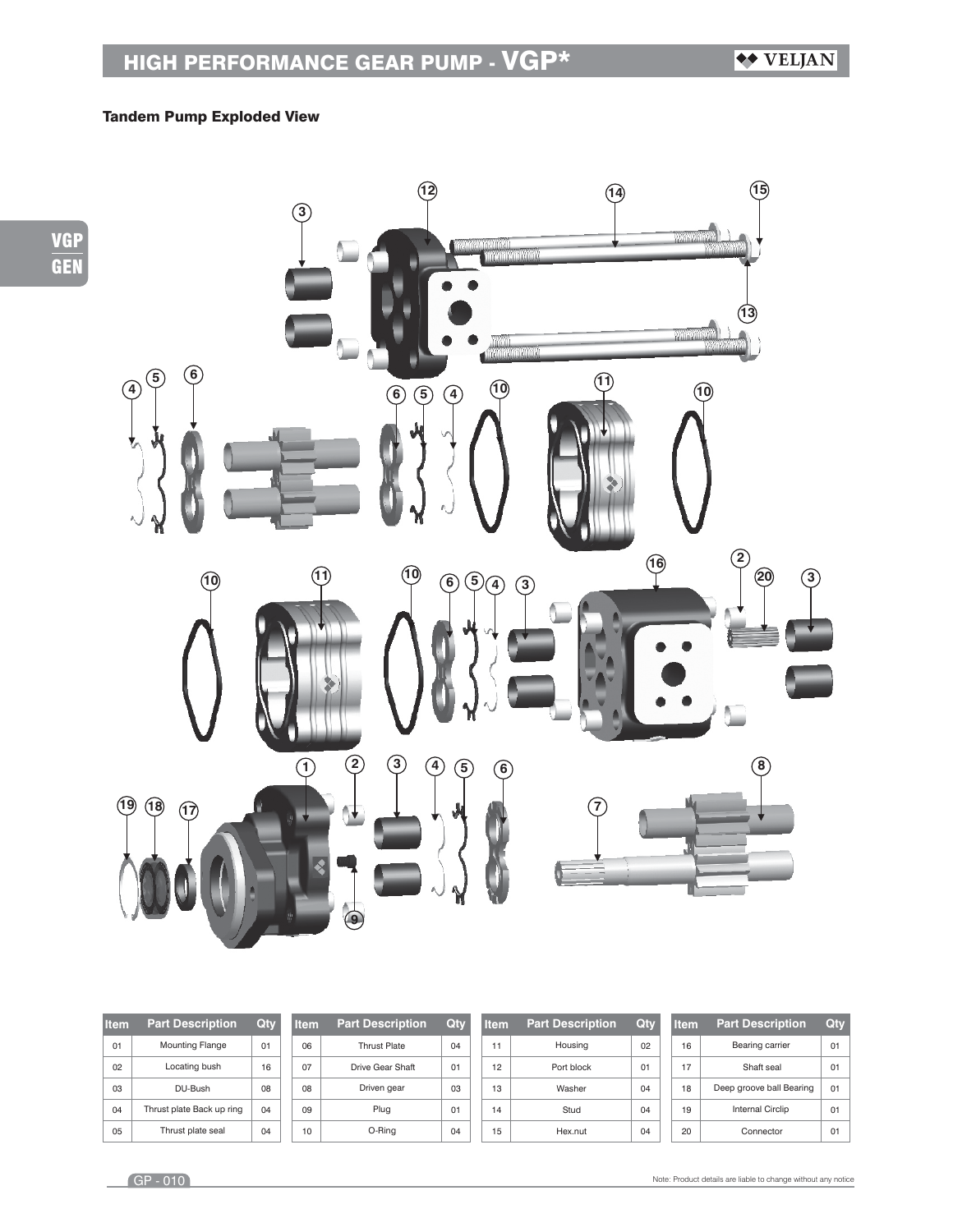# Tandem Pump Exploded View



| <b>Item</b> | <b>Part Description</b>   | Qtv |
|-------------|---------------------------|-----|
| 01          | <b>Mounting Flange</b>    | 01  |
| 02          | Locating bush             | 16  |
| 03          | DU-Bush                   | 08  |
| 04          | Thrust plate Back up ring | 04  |
| 05          | Thrust plate seal         | 04  |

| Item. | <b>Part Description</b> | Qty |
|-------|-------------------------|-----|
| 06    | <b>Thrust Plate</b>     | 04  |
| 07    | Drive Gear Shaft        | 01  |
| 08    | Driven gear             | 03  |
| 09    | Plug                    | 01  |
| 10    | O-Ring                  | 04  |

| tem | <b>Part Description</b> | Qt |
|-----|-------------------------|----|
| 11  | Housing                 | 02 |
| 12  | Port block              | 01 |
| 13  | Washer                  | 04 |
| 14  | Stud                    | 04 |
| 15  | Hex.nut                 | 04 |
|     |                         |    |

| ltem           | <b>Part Description</b>   | Qty | <b>Item</b> | <b>Part Description</b> | Qty | <b>I</b> tem | <b>Part Description</b> | Qty | Item | <b>Part Description</b>  | <b>Qty</b> |
|----------------|---------------------------|-----|-------------|-------------------------|-----|--------------|-------------------------|-----|------|--------------------------|------------|
| 01             | <b>Mounting Flange</b>    | 01  | 06          | <b>Thrust Plate</b>     | 04  | 11           | Housing                 | 02  | 16   | Bearing carrier          | 01         |
| 02             | Locating bush             | 16  | 07          | Drive Gear Shaft        | 01  | 12           | Port block              | 01  | 17   | Shaft seal               | 01         |
| 03             | DU-Bush                   | 08  | 08          | Driven gear             | 03  | 13           | Washer                  | 04  | 18   | Deep groove ball Bearing | 01         |
| 04             | Thrust plate Back up ring | 04  | 09          | Plug                    | 01  | 14           | Stud                    | 04  | 19   | <b>Internal Circlip</b>  | 01         |
| 0 <sub>5</sub> | Thrust plate seal         | 04  | 10          | O-Ring                  | 04  | 15           | Hex.nut                 | 04  | 20   | Connector                | 01         |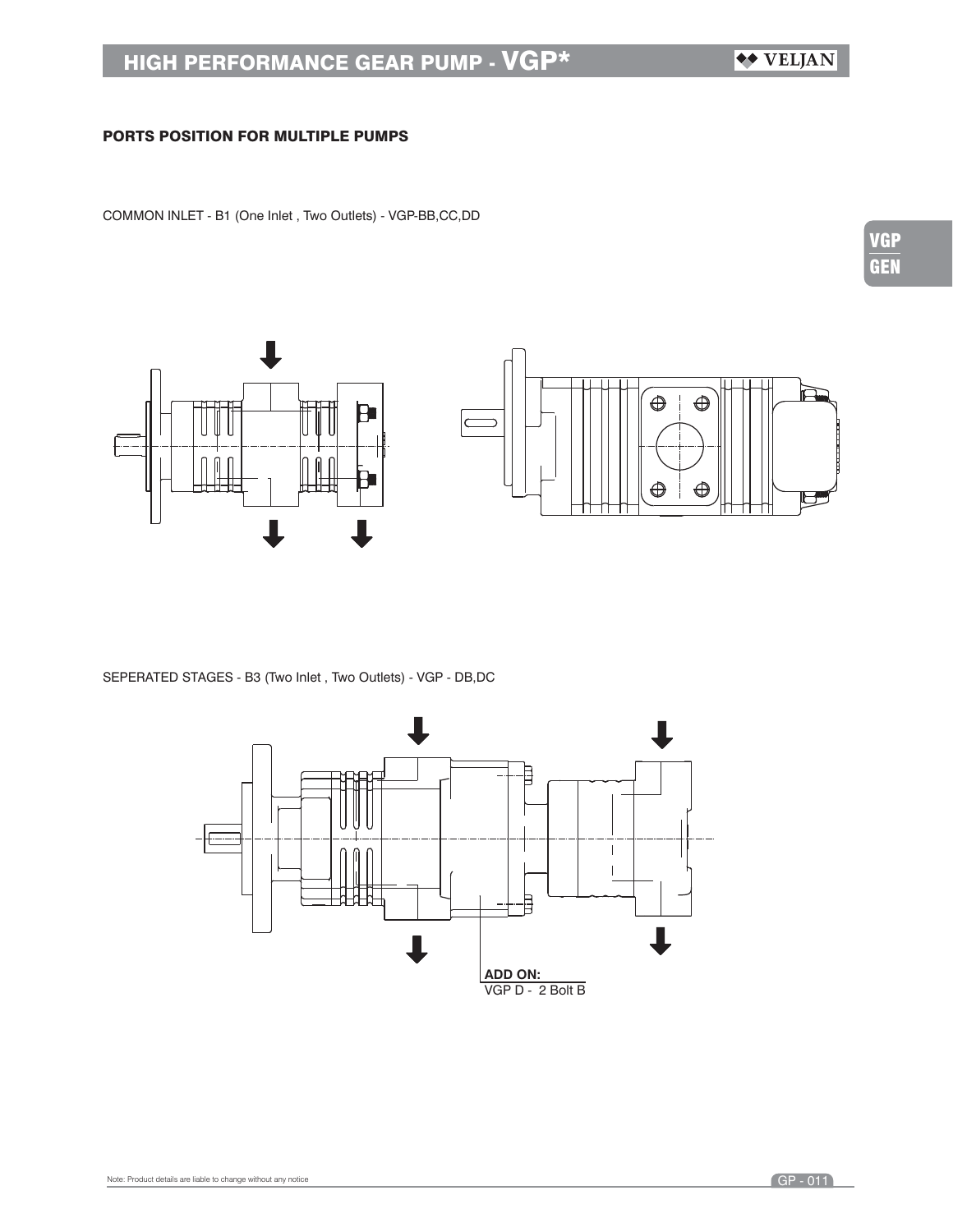# PORTS POSITION FOR MULTIPLE PUMPS

COMMON INLET - B1 (One Inlet , Two Outlets) - VGP-BB,CC,DD







 $\bigoplus$ 

 $\bigoplus$ 

 $\bigoplus$ 

 $\oplus$